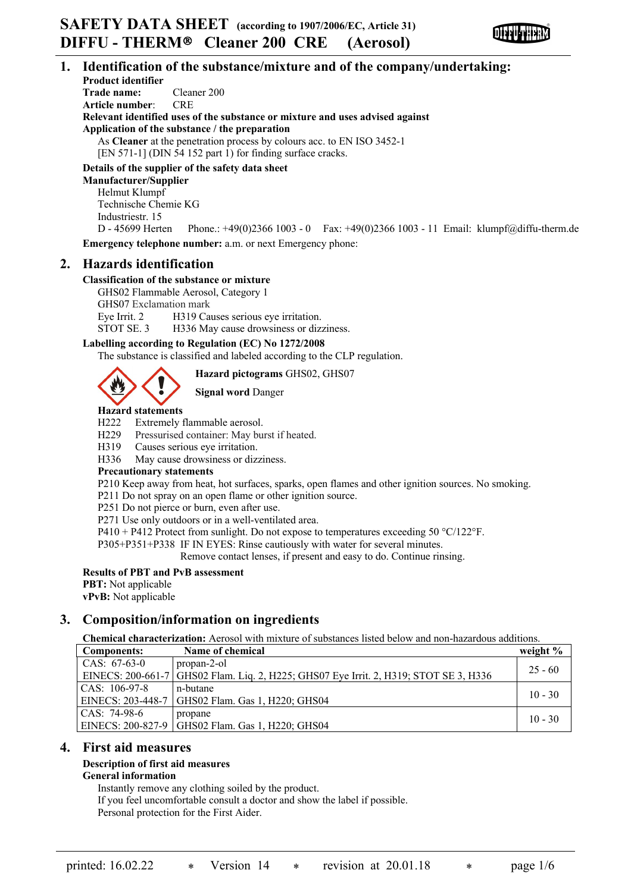

## **1. Identification of the substance/mixture and of the company/undertaking:**

**Product identifier Trade name:** Cleaner 200 **Article number**: CRE **Relevant identified uses of the substance or mixture and uses advised against Application of the substance / the preparation** As **Cleaner** at the penetration process by colours acc. to EN ISO 3452-1 [EN 571-1] (DIN 54 152 part 1) for finding surface cracks.

## **Details of the supplier of the safety data sheet**

**Manufacturer/Supplier** Helmut Klumpf Technische Chemie KG Industriestr. 15

D - 45699 Herten Phone.: +49(0)2366 1003 - 0 Fax: +49(0)2366 1003 - 11 Email: klumpf@diffu-therm.de **Emergency telephone number:** a.m. or next Emergency phone:

## **2. Hazards identification**

## **Classification of the substance or mixture**

GHS02 Flammable Aerosol, Category 1 GHS07 Exclamation mark Eye Irrit. 2 H319 Causes serious eye irritation. STOT SE. 3 H336 May cause drowsiness or dizziness.

## **Labelling according to Regulation (EC) No 1272/2008**

The substance is classified and labeled according to the CLP regulation.

**Hazard pictograms** GHS02, GHS07

**Signal word** Danger

# **Hazard statements**

H222 Extremely flammable aerosol.

- H229 Pressurised container: May burst if heated.
- H319 Causes serious eye irritation.
- H336 May cause drowsiness or dizziness.

## **Precautionary statements**

P210 Keep away from heat, hot surfaces, sparks, open flames and other ignition sources. No smoking.

P211 Do not spray on an open flame or other ignition source.

P251 Do not pierce or burn, even after use.

P271 Use only outdoors or in a well-ventilated area.

P410 + P412 Protect from sunlight. Do not expose to temperatures exceeding 50  $^{\circ}$ C/122<sup>o</sup>F.

P305+P351+P338 IF IN EYES: Rinse cautiously with water for several minutes.

Remove contact lenses, if present and easy to do. Continue rinsing.

## **Results of PBT and PvB assessment**

**PBT:** Not applicable

**vPvB:** Not applicable

## **3. Composition/information on ingredients**

**Chemical characterization:** Aerosol with mixture of substances listed below and non-hazardous additions.

| Components:       | Name of chemical                                                                      | weight $%$ |
|-------------------|---------------------------------------------------------------------------------------|------------|
| CAS: $67-63-0$    | propan-2-ol                                                                           | $25 - 60$  |
|                   | EINECS: 200-661-7 GHS02 Flam. Liq. 2, H225; GHS07 Eye Irrit. 2, H319; STOT SE 3, H336 |            |
| CAS: 106-97-8     | n-butane                                                                              | $10 - 30$  |
| EINECS: 203-448-7 | GHS02 Flam. Gas 1, H220; GHS04                                                        |            |
| CAS: 74-98-6      | propane                                                                               | $10 - 30$  |
|                   | EINECS: 200-827-9 GHS02 Flam. Gas 1, H220; GHS04                                      |            |

## **4. First aid measures**

#### **Description of first aid measures General information**

Instantly remove any clothing soiled by the product.

If you feel uncomfortable consult a doctor and show the label if possible.

Personal protection for the First Aider.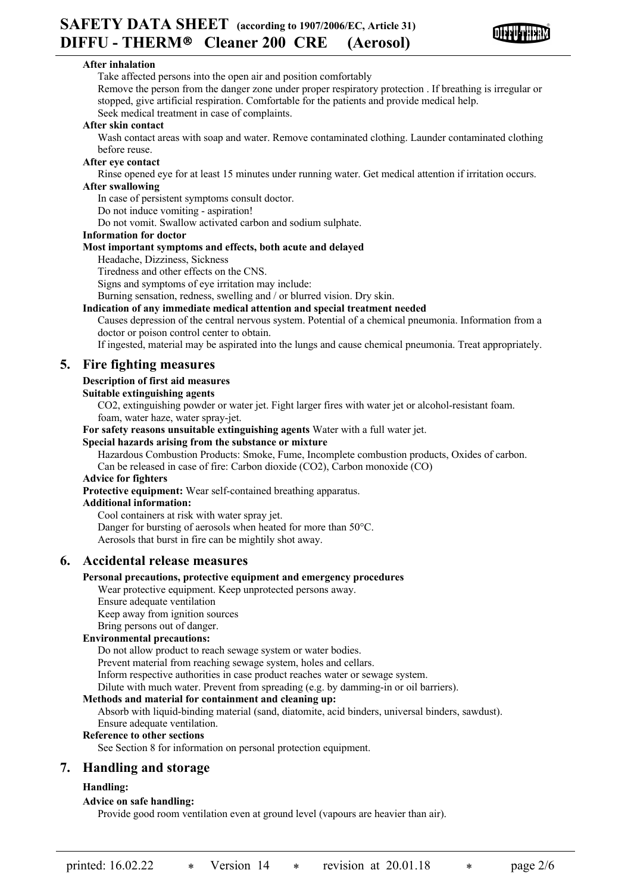

## **After inhalation**

Take affected persons into the open air and position comfortably Remove the person from the danger zone under proper respiratory protection . If breathing is irregular or stopped, give artificial respiration. Comfortable for the patients and provide medical help.

Seek medical treatment in case of complaints.

## **After skin contact**

Wash contact areas with soap and water. Remove contaminated clothing. Launder contaminated clothing before reuse.

## **After eye contact**

Rinse opened eye for at least 15 minutes under running water. Get medical attention if irritation occurs. **After swallowing**

In case of persistent symptoms consult doctor.

Do not induce vomiting - aspiration!

Do not vomit. Swallow activated carbon and sodium sulphate.

## **Information for doctor**

## **Most important symptoms and effects, both acute and delayed**

Headache, Dizziness, Sickness

Tiredness and other effects on the CNS.

Signs and symptoms of eye irritation may include:

Burning sensation, redness, swelling and / or blurred vision. Dry skin.

#### **Indication of any immediate medical attention and special treatment needed**

Causes depression of the central nervous system. Potential of a chemical pneumonia. Information from a doctor or poison control center to obtain.

If ingested, material may be aspirated into the lungs and cause chemical pneumonia. Treat appropriately.

## **5. Fire fighting measures**

## **Description of first aid measures**

#### **Suitable extinguishing agents**

CO2, extinguishing powder or water jet. Fight larger fires with water jet or alcohol-resistant foam. foam, water haze, water spray-jet.

**For safety reasons unsuitable extinguishing agents** Water with a full water jet.

## **Special hazards arising from the substance or mixture**

Hazardous Combustion Products: Smoke, Fume, Incomplete combustion products, Oxides of carbon. Can be released in case of fire: Carbon dioxide (CO2), Carbon monoxide (CO)

## **Advice for fighters**

**Protective equipment:** Wear self-contained breathing apparatus.

## **Additional information:**

Cool containers at risk with water spray jet. Danger for bursting of aerosols when heated for more than 50°C. Aerosols that burst in fire can be mightily shot away.

## **6. Accidental release measures**

## **Personal precautions, protective equipment and emergency procedures**

Wear protective equipment. Keep unprotected persons away.

- Ensure adequate ventilation
- Keep away from ignition sources
- Bring persons out of danger.

## **Environmental precautions:**

Do not allow product to reach sewage system or water bodies.

Prevent material from reaching sewage system, holes and cellars.

Inform respective authorities in case product reaches water or sewage system.

Dilute with much water. Prevent from spreading (e.g. by damming-in or oil barriers).

## **Methods and material for containment and cleaning up:**

Absorb with liquid-binding material (sand, diatomite, acid binders, universal binders, sawdust). Ensure adequate ventilation.

#### **Reference to other sections**

See Section 8 for information on personal protection equipment.

## **7. Handling and storage**

## **Handling:**

## **Advice on safe handling:**

Provide good room ventilation even at ground level (vapours are heavier than air).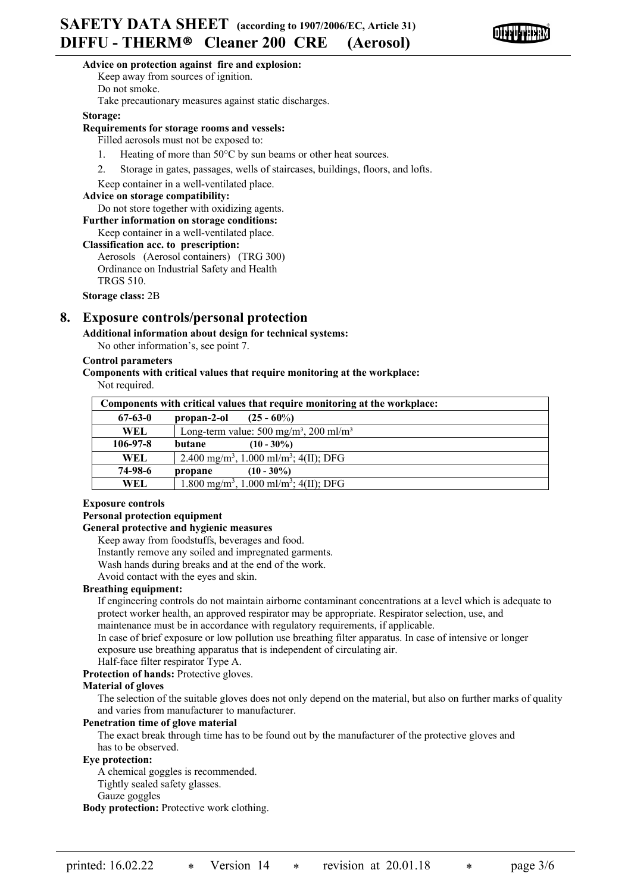

## **Advice on protection against fire and explosion:**

Keep away from sources of ignition.

Do not smoke.

Take precautionary measures against static discharges.

**Storage:**

#### **Requirements for storage rooms and vessels:**

Filled aerosols must not be exposed to:

- 1. Heating of more than 50°C by sun beams or other heat sources.
- 2. Storage in gates, passages, wells of staircases, buildings, floors, and lofts.
- Keep container in a well-ventilated place.

#### **Advice on storage compatibility:**

Do not store together with oxidizing agents.

**Further information on storage conditions:**

Keep container in a well-ventilated place.

#### **Classification acc. to prescription:**

Aerosols (Aerosol containers) (TRG 300) Ordinance on Industrial Safety and Health TRGS 510.

**Storage class:** 2B

## **8. Exposure controls/personal protection**

**Additional information about design for technical systems:**

No other information's, see point 7.

#### **Control parameters**

**Components with critical values that require monitoring at the workplace:**

Not required.

| Components with critical values that require monitoring at the workplace: |             |                                                                |  |
|---------------------------------------------------------------------------|-------------|----------------------------------------------------------------|--|
| $67 - 63 - 0$                                                             | propan-2-ol | $(25 - 60\%)$                                                  |  |
| WEL.                                                                      |             | Long-term value: $500 \text{ mg/m}^3$ , $200 \text{ ml/m}^3$   |  |
| $106 - 97 - 8$                                                            | butane      | $(10 - 30\%)$                                                  |  |
| <b>WEL</b>                                                                |             | 2.400 mg/m <sup>3</sup> , 1.000 ml/m <sup>3</sup> ; 4(II); DFG |  |
| 74-98-6                                                                   | propane     | $(10 - 30\%)$                                                  |  |
| WEL                                                                       |             | 1.800 mg/m <sup>3</sup> , 1.000 ml/m <sup>3</sup> ; 4(II); DFG |  |

## **Exposure controls**

## **Personal protection equipment**

## **General protective and hygienic measures**

Keep away from foodstuffs, beverages and food.

Instantly remove any soiled and impregnated garments.

Wash hands during breaks and at the end of the work.

Avoid contact with the eyes and skin.

#### **Breathing equipment:**

If engineering controls do not maintain airborne contaminant concentrations at a level which is adequate to protect worker health, an approved respirator may be appropriate. Respirator selection, use, and maintenance must be in accordance with regulatory requirements, if applicable.

In case of brief exposure or low pollution use breathing filter apparatus. In case of intensive or longer exposure use breathing apparatus that is independent of circulating air.

Half-face filter respirator Type A.

**Protection of hands:** Protective gloves.

#### **Material of gloves**

The selection of the suitable gloves does not only depend on the material, but also on further marks of quality and varies from manufacturer to manufacturer.

## **Penetration time of glove material**

The exact break through time has to be found out by the manufacturer of the protective gloves and has to be observed.

## **Eye protection:**

A chemical goggles is recommended. Tightly sealed safety glasses.

Gauze goggles

**Body protection:** Protective work clothing.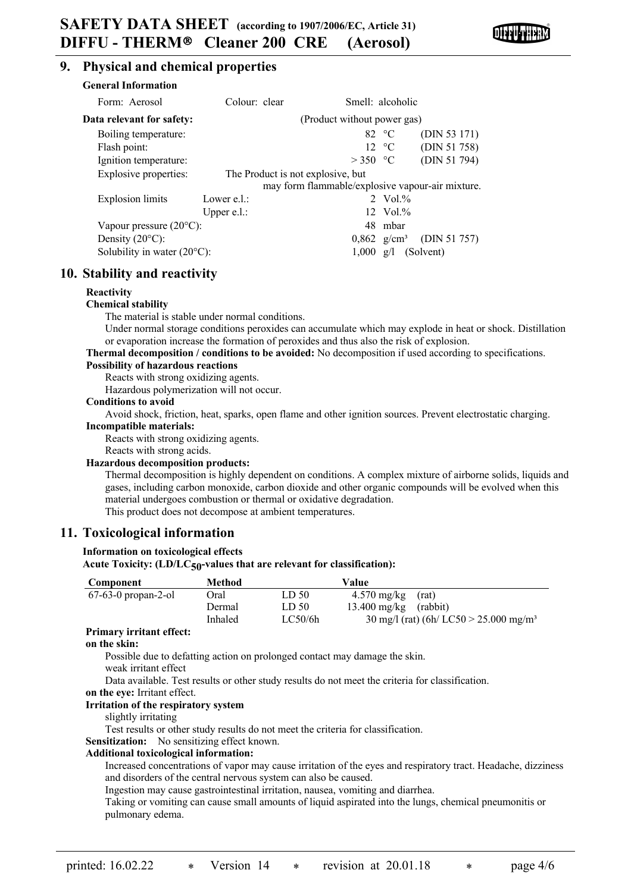

## **9. Physical and chemical properties**

| General Information                   |                |                                                  |                     |              |
|---------------------------------------|----------------|--------------------------------------------------|---------------------|--------------|
| Form: Aerosol                         | Colour: clear  | Smell: alcoholic                                 |                     |              |
| Data relevant for safety:             |                | (Product without power gas)                      |                     |              |
| Boiling temperature:                  |                |                                                  | 82 $\degree$ C      | (DIN 53 171) |
| Flash point:                          |                |                                                  | 12 °C               | (DIN 51 758) |
| Ignition temperature:                 |                | $>350$ °C                                        |                     | (DIN 51 794) |
| Explosive properties:                 |                | The Product is not explosive, but                |                     |              |
|                                       |                | may form flammable/explosive vapour-air mixture. |                     |              |
| Explosion limits                      | Lower $e.l.$ : |                                                  | 2 Vol. $%$          |              |
|                                       | Upper $e.l.$ : |                                                  | $12 \text{ Vol.}\%$ |              |
| Vapour pressure $(20^{\circ}C)$ :     |                |                                                  | 48 mbar             |              |
| Density $(20^{\circ}C)$ :             |                | $0,862 \text{ g/cm}^3$                           |                     | (DIN 51 757) |
| Solubility in water $(20^{\circ}C)$ : |                | $1,000 \text{ g/l}$                              |                     | (Solvent)    |

## **10. Stability and reactivity**

## **Reactivity**

## **Chemical stability**

**General Information**

The material is stable under normal conditions.

Under normal storage conditions peroxides can accumulate which may explode in heat or shock. Distillation or evaporation increase the formation of peroxides and thus also the risk of explosion.

# **Thermal decomposition / conditions to be avoided:** No decomposition if used according to specifications.

## **Possibility of hazardous reactions**

Reacts with strong oxidizing agents.

Hazardous polymerization will not occur.

## **Conditions to avoid**

Avoid shock, friction, heat, sparks, open flame and other ignition sources. Prevent electrostatic charging. **Incompatible materials:**

Reacts with strong oxidizing agents.

Reacts with strong acids.

#### **Hazardous decomposition products:**

Thermal decomposition is highly dependent on conditions. A complex mixture of airborne solids, liquids and gases, including carbon monoxide, carbon dioxide and other organic compounds will be evolved when this material undergoes combustion or thermal or oxidative degradation.

This product does not decompose at ambient temperatures.

## **11. Toxicological information**

#### **Information on toxicological effects**

#### **Acute Toxicity: (LD/LC50-values that are relevant for classification):**

| Component             | Method  |                  | Value                                                        |
|-----------------------|---------|------------------|--------------------------------------------------------------|
| $67-63-0$ propan-2-ol | Oral    | LD <sub>50</sub> | $4.570 \text{ mg/kg}$<br>(rat)                               |
|                       | Dermal  | LD <sub>50</sub> | $13.400$ mg/kg $(rabbit)$                                    |
|                       | Inhaled | LC50/6h          | $30 \text{ mg/l}$ (rat) (6h/ LC50 > 25.000 mg/m <sup>3</sup> |

## **Primary irritant effect:**

#### **on the skin:**

Possible due to defatting action on prolonged contact may damage the skin.

weak irritant effect

Data available. Test results or other study results do not meet the criteria for classification.

**on the eye:** Irritant effect.

## **Irritation of the respiratory system**

slightly irritating

Test results or other study results do not meet the criteria for classification.

## **Sensitization:** No sensitizing effect known.

## **Additional toxicological information:**

Increased concentrations of vapor may cause irritation of the eyes and respiratory tract. Headache, dizziness and disorders of the central nervous system can also be caused.

Ingestion may cause gastrointestinal irritation, nausea, vomiting and diarrhea.

Taking or vomiting can cause small amounts of liquid aspirated into the lungs, chemical pneumonitis or pulmonary edema.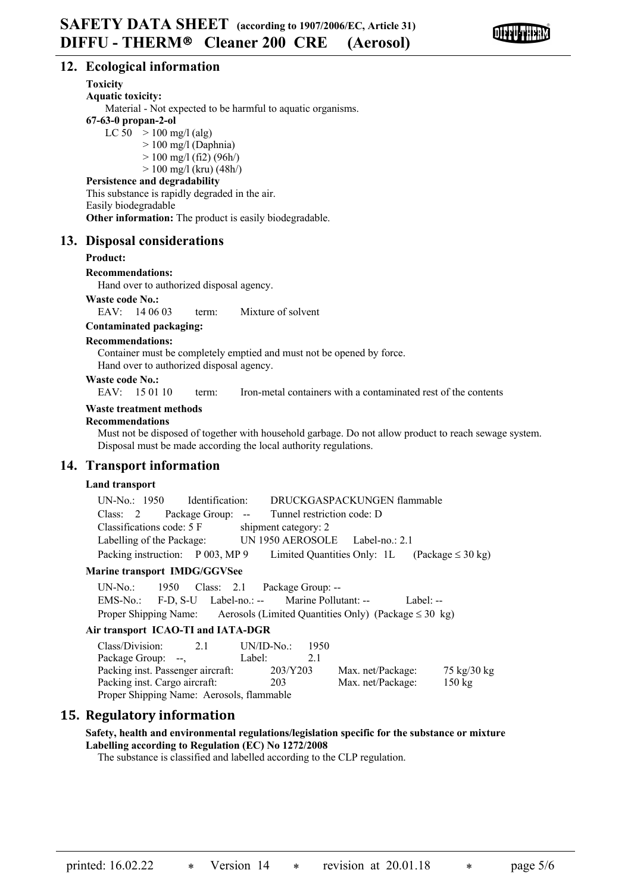

## **12. Ecological information**

## **Toxicity**

**Aquatic toxicity:**

Material - Not expected to be harmful to aquatic organisms.

## **67-63-0 propan-2-ol**

LC  $50 > 100$  mg/l (alg)

 $> 100$  mg/l (Daphnia)

- $> 100$  mg/l (fi2) (96h/)
- $> 100$  mg/l (kru) (48h/)

## **Persistence and degradability**

This substance is rapidly degraded in the air. Easily biodegradable **Other information:** The product is easily biodegradable.

## **13. Disposal considerations**

#### **Product:**

**Recommendations:**

Hand over to authorized disposal agency.

#### **Waste code No.:**

EAV: 14 06 03 term: Mixture of solvent

## **Contaminated packaging:**

#### **Recommendations:**

Container must be completely emptied and must not be opened by force. Hand over to authorized disposal agency.

#### **Waste code No.:**

EAV: 15 01 10 term: Iron-metal containers with a contaminated rest of the contents

## **Waste treatment methods**

## **Recommendations**

Must not be disposed of together with household garbage. Do not allow product to reach sewage system. Disposal must be made according the local authority regulations.

## **14. Transport information**

## **Land transport**

| UN-No.: 1950 Identification:                                                        | DRUCKGASPACKUNGEN flammable     |  |
|-------------------------------------------------------------------------------------|---------------------------------|--|
| Class: 2 Package Group: -- Tunnel restriction code: D                               |                                 |  |
| Classifications code: 5 F                                                           | shipment category: 2            |  |
| Labelling of the Package:                                                           | UN 1950 AEROSOLE Label-no.: 2.1 |  |
| Packing instruction: P 003, MP 9 Limited Quantities Only: 1L (Package $\leq 30$ kg) |                                 |  |

## **Marine transport IMDG/GGVSee**

UN-No.: 1950 Class: 2.1 Package Group: -- EMS-No.: F-D, S-U Label-no.: -- Marine Pollutant: -- Label: -- Proper Shipping Name: Aerosols (Limited Quantities Only) (Package  $\leq 30 \text{ kg}$ )

## **Air transport ICAO-TI and IATA-DGR**

| Class/Division:                           | 2.1 | $UN/ID-No.$ | 1950 |                   |                  |
|-------------------------------------------|-----|-------------|------|-------------------|------------------|
| Package Group: --,                        |     | Label:      |      |                   |                  |
| Packing inst. Passenger aircraft:         |     | 203/Y203    |      | Max. net/Package: | 75 kg/30 kg      |
| Packing inst. Cargo aircraft:             |     | 203         |      | Max. net/Package: | $150 \text{ kg}$ |
| Proper Shipping Name: Aerosols, flammable |     |             |      |                   |                  |

## **15. Regulatory information**

## **Safety, health and environmental regulations/legislation specific for the substance or mixture Labelling according to Regulation (EC) No 1272/2008**

The substance is classified and labelled according to the CLP regulation.